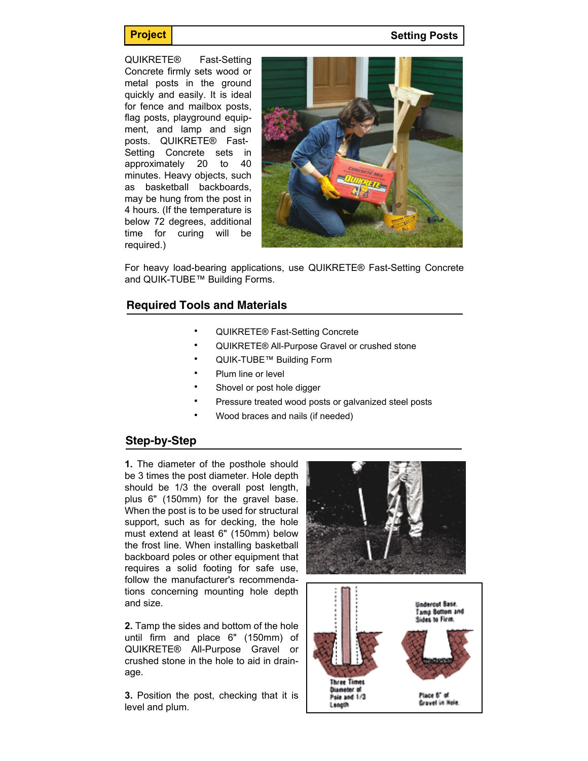**Project Setting Posts** 

QUIKRETE® Fast-Setting Concrete firmly sets wood or metal posts in the ground quickly and easily. It is ideal for fence and mailbox posts, flag posts, playground equipment, and lamp and sign posts. QUIKRETE® Fast-Setting Concrete sets in approximately 20 to 40 minutes. Heavy objects, such as basketball backboards, may be hung from the post in 4 hours. (If the temperature is below 72 degrees, additional time for curing will be required.)



For heavy load-bearing applications, use QUIKRETE® Fast-Setting Concrete and QUIK-TUBE™ Building Forms.

## **Required Tools and Materials**

- QUIKRETE® Fast-Setting Concrete
- QUIKRETE® All-Purpose Gravel or crushed stone
- QUIK-TUBE™ Building Form
- Plum line or level
- Shovel or post hole digger
- Pressure treated wood posts or galvanized steel posts
- Wood braces and nails (if needed)

## **Step-by-Step**

**1.** The diameter of the posthole should be 3 times the post diameter. Hole depth should be 1/3 the overall post length, plus 6" (150mm) for the gravel base. When the post is to be used for structural support, such as for decking, the hole must extend at least 6" (150mm) below the frost line. When installing basketball backboard poles or other equipment that requires a solid footing for safe use, follow the manufacturer's recommendations concerning mounting hole depth and size.

**2.** Tamp the sides and bottom of the hole until firm and place 6" (150mm) of QUIKRETE® All-Purpose Gravel or crushed stone in the hole to aid in drainage.

**3.** Position the post, checking that it is level and plum.